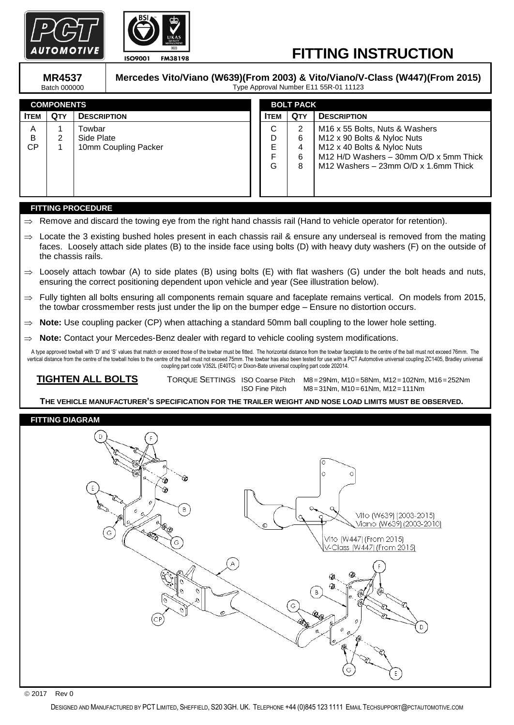



# **FITTING INSTRUCTION**

**MR4537** Batch 000000 **Mercedes Vito/Viano (W639)(From 2003) & Vito/Viano/V-Class (W447)(From 2015)** Type Approval Number E11 55R-01 11123

| <b>COMPONENTS</b> |            |                      | <b>BOLT PACK</b> |            |                                                |
|-------------------|------------|----------------------|------------------|------------|------------------------------------------------|
| <b>ITEM</b>       | <b>QTY</b> | <b>DESCRIPTION</b>   | <b>ITEM</b>      | <b>QTY</b> | <b>DESCRIPTION</b>                             |
| A                 |            | Towbar               | C                | 2          | M <sub>16</sub> x 55 Bolts, Nuts & Washers     |
| B                 | 2          | Side Plate           | D                | 6          | M12 x 90 Bolts & Nyloc Nuts                    |
| СP                |            | 10mm Coupling Packer | E                | 4          | M12 x 40 Bolts & Nyloc Nuts                    |
|                   |            |                      | E                | 6          | M12 H/D Washers - 30mm O/D x 5mm Thick         |
|                   |            |                      | G                | 8          | M12 Washers $-$ 23mm $O/D \times 1.6$ mm Thick |
|                   |            |                      |                  |            |                                                |
|                   |            |                      |                  |            |                                                |
|                   |            |                      |                  |            |                                                |

### **FITTING PROCEDURE**

- Remove and discard the towing eye from the right hand chassis rail (Hand to vehicle operator for retention).
- $\Rightarrow$  Locate the 3 existing bushed holes present in each chassis rail & ensure any underseal is removed from the mating faces. Loosely attach side plates (B) to the inside face using bolts (D) with heavy duty washers (F) on the outside of the chassis rails.
- $\Rightarrow$  Loosely attach towbar (A) to side plates (B) using bolts (E) with flat washers (G) under the bolt heads and nuts, ensuring the correct positioning dependent upon vehicle and year (See illustration below).
- $\Rightarrow$  Fully tighten all bolts ensuring all components remain square and faceplate remains vertical. On models from 2015, the towbar crossmember rests just under the lip on the bumper edge – Ensure no distortion occurs.
- $\Rightarrow$  **Note:** Use coupling packer (CP) when attaching a standard 50mm ball coupling to the lower hole setting.
- ⇒ **Note:** Contact your Mercedes-Benz dealer with regard to vehicle cooling system modifications.

A type approved towball with 'D' and 'S' values that match or exceed those of the towbar must be fitted. The horizontal distance from the towbar faceplate to the centre of the ball must not exceed 76mm. The vertical distance from the centre of the towball holes to the centre of the ball must not exceed 75mm. The towbar has also been tested for use with a PCT Automotive universal coupling ZC1405, Bradley universal coupling part code V352L (E40TC) or Dixon-Bate universal coupling part code 202014.

 **TIGHTEN ALL BOLTS** TORQUE SETTINGS ISO Coarse Pitch M8=29Nm, M10=58Nm, M12=102Nm, M16=252Nm ISO Fine Pitch M8=31Nm, M10=61Nm, M12=111Nm

 **THE VEHICLE MANUFACTURER'S SPECIFICATION FOR THE TRAILER WEIGHT AND NOSE LOAD LIMITS MUST BE OBSERVED.**

## **FITTING DIAGRAM**